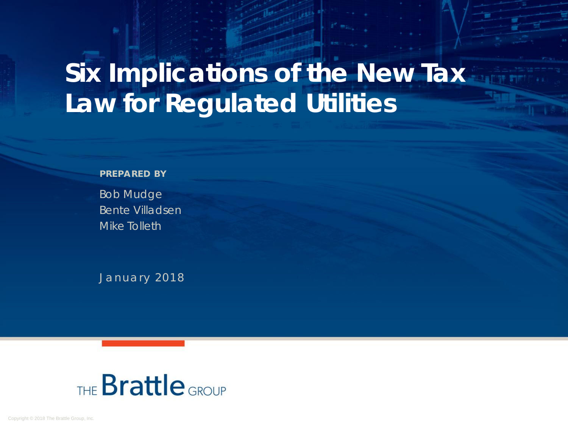# **Six Implications of the New Tax Law for Regulated Utilities**

#### **PREPARED BY**

Bob Mudge Bente Villadsen Mike Tolleth

January 2018

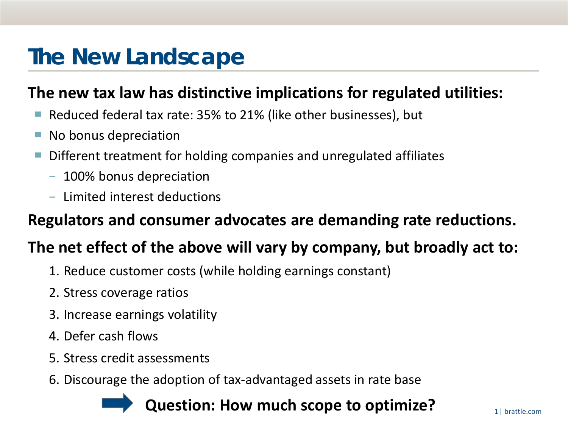# **The New Landscape**

### **The new tax law has distinctive implications for regulated utilities:**

- Reduced federal tax rate: 35% to 21% (like other businesses), but
- No bonus depreciation
- Different treatment for holding companies and unregulated affiliates
	- − 100% bonus depreciation
	- − Limited interest deductions

### **Regulators and consumer advocates are demanding rate reductions.**

### **The net effect of the above will vary by company, but broadly act to:**

- 1. Reduce customer costs (while holding earnings constant)
- 2. Stress coverage ratios
- 3. Increase earnings volatility
- 4. Defer cash flows
- 5. Stress credit assessments
- 6. Discourage the adoption of tax-advantaged assets in rate base

### **Question: How much scope to optimize?**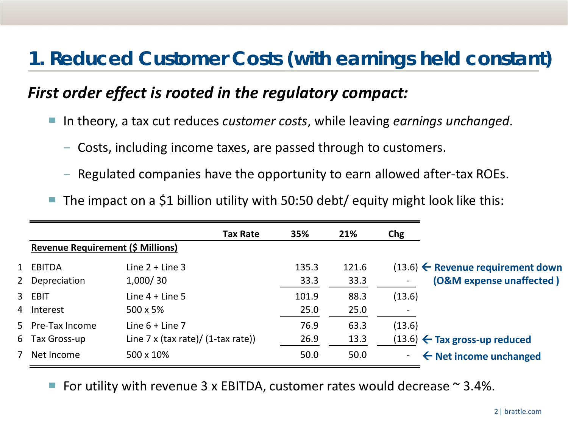# **1. Reduced Customer Costs (with earnings held constant)**

### *First order effect is rooted in the regulatory compact:*

- In theory, a tax cut reduces *customer costs*, while leaving *earnings unchanged*.
	- − Costs, including income taxes, are passed through to customers.
	- − Regulated companies have the opportunity to earn allowed after-tax ROEs.
- The impact on a \$1 billion utility with 50:50 debt/ equity might look like this:

|                                          | <b>Tax Rate</b>                           | 35%   | 21%   | Chg    |                                                |
|------------------------------------------|-------------------------------------------|-------|-------|--------|------------------------------------------------|
| <b>Revenue Requirement (\$ Millions)</b> |                                           |       |       |        |                                                |
| 1 EBITDA                                 | Line $2 +$ Line 3                         | 135.3 | 121.6 |        | $(13.6)$ $\leftarrow$ Revenue requirement down |
| 2 Depreciation                           | 1,000/30                                  | 33.3  | 33.3  |        | (O&M expense unaffected)                       |
| 3 EBIT                                   | Line $4 +$ Line 5                         | 101.9 | 88.3  | (13.6) |                                                |
| 4 Interest                               | 500 x 5%                                  | 25.0  | 25.0  |        |                                                |
| 5 Pre-Tax Income                         | Line $6 +$ Line 7                         | 76.9  | 63.3  | (13.6) |                                                |
| 6 Tax Gross-up                           | Line $7 \times$ (tax rate)/ (1-tax rate)) | 26.9  | 13.3  |        | $(13.6)$ $\leftarrow$ Tax gross-up reduced     |
| 7 Net Income                             | 500 x 10%                                 | 50.0  | 50.0  |        | $\leftarrow$ Net income unchanged              |

For utility with revenue 3 x EBITDA, customer rates would decrease  $\sim$  3.4%.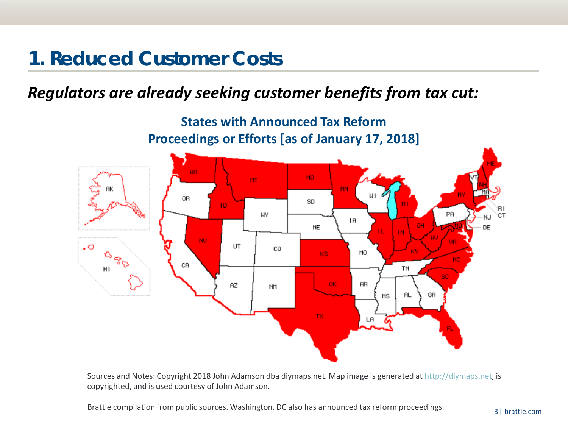# **1. Reduced Customer Costs**

### *Regulators are already seeking customer benefits from tax cut:*



Sources and Notes: Copyright 2018 John Adamson dba diymaps.net. Map image is generated at [http://diymaps.net,](http://diymaps.net/) is copyrighted, and is used courtesy of John Adamson.

Brattle compilation from public sources. Washington, DC also has announced tax reform proceedings.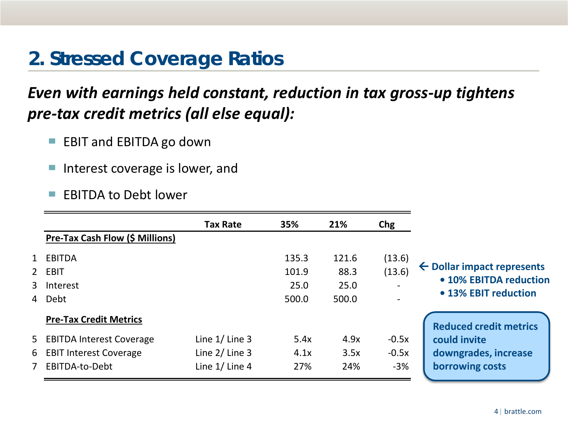# **2. Stressed Coverage Ratios**

### *Even with earnings held constant, reduction in tax gross-up tightens pre-tax credit metrics (all else equal):*

- EBIT and EBITDA go down
- Interest coverage is lower, and
- EBITDA to Debt lower

|                |                                 | <b>Tax Rate</b>  | 35%   | 21%   | Chg     |                                       |
|----------------|---------------------------------|------------------|-------|-------|---------|---------------------------------------|
|                | Pre-Tax Cash Flow (\$ Millions) |                  |       |       |         |                                       |
|                | 1 EBITDA                        |                  | 135.3 | 121.6 | (13.6)  |                                       |
|                | 2 EBIT                          |                  | 101.9 | 88.3  | (13.6)  | $\leftarrow$ Dollar impact represents |
|                | 3 Interest                      |                  | 25.0  | 25.0  |         | • 10% EBITDA reduction                |
|                | 4 Debt                          |                  | 500.0 | 500.0 |         | • 13% EBIT reduction                  |
|                | <b>Pre-Tax Credit Metrics</b>   |                  |       |       |         | <b>Reduced credit metrics</b>         |
|                | 5 EBITDA Interest Coverage      | Line $1/$ Line 3 | 5.4x  | 4.9x  | $-0.5x$ | could invite                          |
|                | 6 EBIT Interest Coverage        | Line $2/$ Line 3 | 4.1x  | 3.5x  | $-0.5x$ | downgrades, increase                  |
| 7 <sup>7</sup> | EBITDA-to-Debt                  | Line $1/$ Line 4 | 27%   | 24%   | $-3%$   | borrowing costs                       |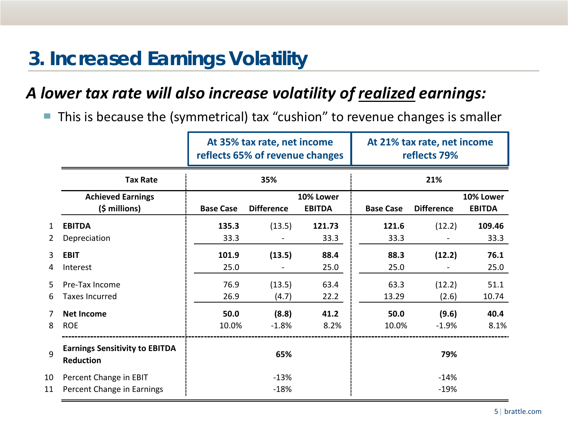# **3. Increased Earnings Volatility**

### *A lower tax rate will also increase volatility of realized earnings:*

■ This is because the (symmetrical) tax "cushion" to revenue changes is smaller

|                   |                                                      | At 35% tax rate, net income<br>reflects 65% of revenue changes |                  |                            | At 21% tax rate, net income<br>reflects 79% |                   |                            |  |  |
|-------------------|------------------------------------------------------|----------------------------------------------------------------|------------------|----------------------------|---------------------------------------------|-------------------|----------------------------|--|--|
|                   | <b>Tax Rate</b>                                      |                                                                | 35%              |                            |                                             | 21%               |                            |  |  |
|                   | <b>Achieved Earnings</b><br>$(\frac{1}{2} millions)$ | <b>Base Case</b><br><b>Difference</b>                          |                  | 10% Lower<br><b>EBITDA</b> | <b>Base Case</b>                            | <b>Difference</b> | 10% Lower<br><b>EBITDA</b> |  |  |
| $\mathbf{1}$<br>2 | <b>EBITDA</b><br>Depreciation                        | 135.3<br>33.3                                                  | (13.5)           | 121.73<br>33.3             | 121.6<br>33.3                               | (12.2)            | 109.46<br>33.3             |  |  |
| 3<br>4            | <b>EBIT</b><br>Interest                              | 101.9<br>25.0                                                  | (13.5)           | 88.4<br>25.0               | 88.3<br>25.0                                | (12.2)            | 76.1<br>25.0               |  |  |
| 5<br>6            | Pre-Tax Income<br><b>Taxes Incurred</b>              | 76.9<br>26.9                                                   | (13.5)<br>(4.7)  | 63.4<br>22.2               | 63.3<br>13.29                               | (12.2)<br>(2.6)   | 51.1<br>10.74              |  |  |
| 7<br>8            | <b>Net Income</b><br><b>ROE</b>                      | 50.0<br>10.0%                                                  | (8.8)<br>$-1.8%$ | 41.2<br>8.2%               | 50.0<br>10.0%                               | (9.6)<br>$-1.9%$  | 40.4<br>8.1%               |  |  |
| 9                 | <b>Earnings Sensitivity to EBITDA</b><br>Reduction   |                                                                | 65%              |                            |                                             | 79%               |                            |  |  |
| 10<br>11          | Percent Change in EBIT<br>Percent Change in Earnings |                                                                | $-13%$<br>$-18%$ |                            |                                             | $-14%$<br>$-19%$  |                            |  |  |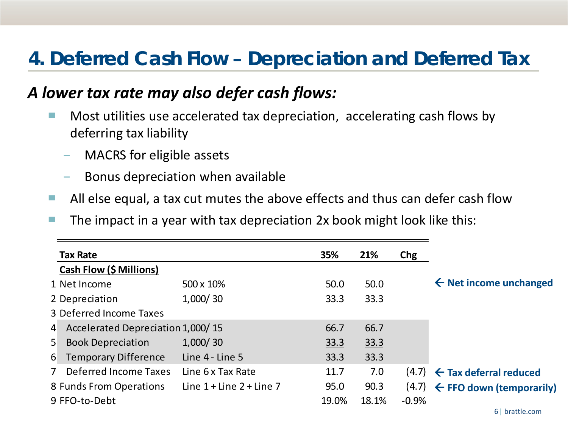# **4. Deferred Cash Flow – Depreciation and Deferred Tax**

### *A lower tax rate may also defer cash flows:*

- Most utilities use accelerated tax depreciation, accelerating cash flows by deferring tax liability
	- − MACRS for eligible assets
	- Bonus depreciation when available
- All else equal, a tax cut mutes the above effects and thus can defer cash flow
- $\blacksquare$  The impact in a year with tax depreciation 2x book might look like this:

|                | <b>Tax Rate</b>                     |                              | 35%         | 21%   | Chg     |                                             |
|----------------|-------------------------------------|------------------------------|-------------|-------|---------|---------------------------------------------|
|                | Cash Flow (\$ Millions)             |                              |             |       |         |                                             |
|                | 1 Net Income                        | 500 x 10%                    | 50.0        | 50.0  |         | $\leftarrow$ Net income unchanged           |
|                | 2 Depreciation                      | 1,000/30                     | 33.3        | 33.3  |         |                                             |
|                | 3 Deferred Income Taxes             |                              |             |       |         |                                             |
|                | 4 Accelerated Depreciation 1,000/15 |                              | 66.7        | 66.7  |         |                                             |
| 5 <sup>1</sup> | <b>Book Depreciation</b>            | 1,000/30                     | <u>33.3</u> | 33.3  |         |                                             |
| 6 <sup>1</sup> | <b>Temporary Difference</b>         | Line 4 - Line 5              | 33.3        | 33.3  |         |                                             |
| 7 <sup>7</sup> | <b>Deferred Income Taxes</b>        | Line 6 x Tax Rate            | 11.7        | 7.0   | (4.7)   | $\leftarrow$ Tax deferral reduced           |
|                | 8 Funds From Operations             | Line $1 +$ Line $2 +$ Line 7 | 95.0        | 90.3  |         | $(4.7)$ $\leftarrow$ FFO down (temporarily) |
|                | 9 FFO-to-Debt                       |                              | 19.0%       | 18.1% | $-0.9%$ |                                             |
|                |                                     |                              |             |       |         | 6   brattle.com                             |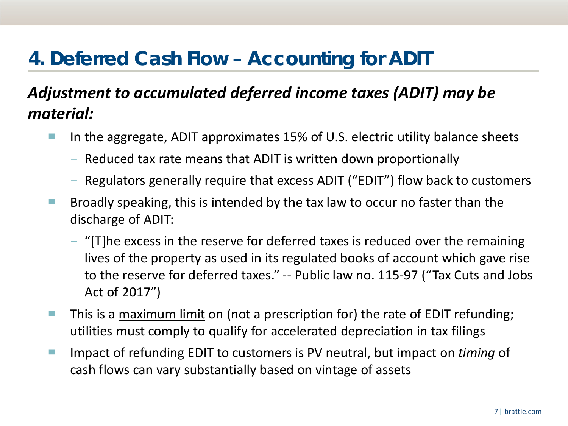# **4. Deferred Cash Flow – Accounting for ADIT**

### *Adjustment to accumulated deferred income taxes (ADIT) may be material:*

- In the aggregate, ADIT approximates 15% of U.S. electric utility balance sheets
	- − Reduced tax rate means that ADIT is written down proportionally
	- − Regulators generally require that excess ADIT ("EDIT") flow back to customers
- $\blacksquare$  Broadly speaking, this is intended by the tax law to occur no faster than the discharge of ADIT:
	- − "[T]he excess in the reserve for deferred taxes is reduced over the remaining lives of the property as used in its regulated books of account which gave rise to the reserve for deferred taxes." -- Public law no. 115-97 ("Tax Cuts and Jobs Act of 2017")
- This is a maximum limit on (not a prescription for) the rate of EDIT refunding; utilities must comply to qualify for accelerated depreciation in tax filings
- Impact of refunding EDIT to customers is PV neutral, but impact on *timing* of cash flows can vary substantially based on vintage of assets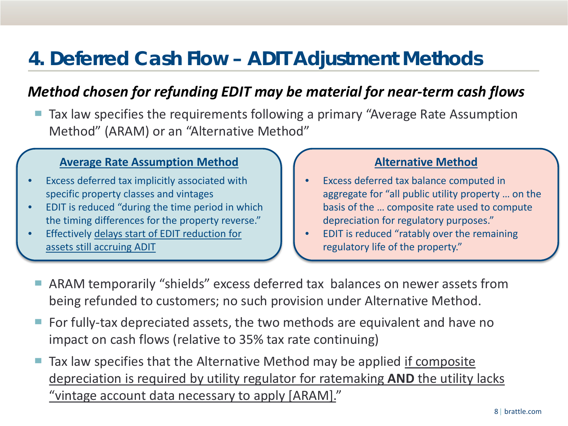# **4. Deferred Cash Flow – ADIT Adjustment Methods**

### *Method chosen for refunding EDIT may be material for near-term cash flows*

Tax law specifies the requirements following a primary "Average Rate Assumption Method" (ARAM) or an "Alternative Method"

#### **Average Rate Assumption Method**

- Excess deferred tax implicitly associated with specific property classes and vintages
- EDIT is reduced "during the time period in which the timing differences for the property reverse."
- Effectively delays start of EDIT reduction for assets still accruing ADIT

### **Alternative Method**

- Excess deferred tax balance computed in aggregate for "all public utility property … on the basis of the … composite rate used to compute depreciation for regulatory purposes."
- EDIT is reduced "ratably over the remaining regulatory life of the property."
- ARAM temporarily "shields" excess deferred tax balances on newer assets from being refunded to customers; no such provision under Alternative Method.
- For fully-tax depreciated assets, the two methods are equivalent and have no impact on cash flows (relative to 35% tax rate continuing)
- Tax law specifies that the Alternative Method may be applied if composite depreciation is required by utility regulator for ratemaking **AND** the utility lacks "vintage account data necessary to apply [ARAM]."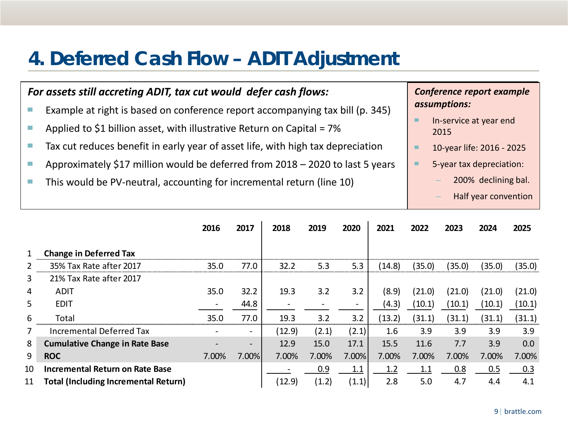# **4. Deferred Cash Flow – ADIT Adjustment**

#### *For assets still accreting ADIT, tax cut would defer cash flows:* ■ Example at right is based on conference report accompanying tax bill (p. 345) **E** Applied to \$1 billion asset, with illustrative Return on Capital =  $7\%$ ■ Tax cut reduces benefit in early year of asset life, with high tax depreciation ■ Approximately \$17 million would be deferred from 2018 – 2020 to last 5 years ■ This would be PV-neutral, accounting for incremental return (line 10) *Conference report example assumptions:* ■ In-service at year end 2015 ■ 10-year life: 2016 - 2025 5-year tax depreciation: – 200% declining bal. – Half year convention

|                |                                             | 2016  | 2017  | 2018   | 2019  | 2020                     | 2021   | 2022   | 2023   | 2024   | 2025   |
|----------------|---------------------------------------------|-------|-------|--------|-------|--------------------------|--------|--------|--------|--------|--------|
| 1              | <b>Change in Deferred Tax</b>               |       |       |        |       |                          |        |        |        |        |        |
| $\overline{2}$ | 35% Tax Rate after 2017                     | 35.0  | 77.0  | 32.2   | 5.3   | 5.3                      | (14.8) | (35.0) | (35.0) | (35.0) | (35.0) |
| 3              | 21% Tax Rate after 2017                     |       |       |        |       |                          |        |        |        |        |        |
| 4              | <b>ADIT</b>                                 | 35.0  | 32.2  | 19.3   | 3.2   | 3.2                      | (8.9)  | (21.0) | (21.0) | (21.0) | (21.0) |
| 5              | <b>EDIT</b>                                 |       | 44.8  |        |       | $\overline{\phantom{a}}$ | (4.3)  | (10.1) | (10.1) | (10.1) | (10.1) |
| 6              | Total                                       | 35.0  | 77.0  | 19.3   | 3.2   | 3.2                      | (13.2) | (31.1) | (31.1) | (31.1) | (31.1) |
| 7              | Incremental Deferred Tax                    |       |       | (12.9) | (2.1) | (2.1)                    | 1.6    | 3.9    | 3.9    | 3.9    | 3.9    |
| 8              | <b>Cumulative Change in Rate Base</b>       |       |       | 12.9   | 15.0  | 17.1                     | 15.5   | 11.6   | 7.7    | 3.9    | 0.0    |
| 9              | <b>ROC</b>                                  | 7.00% | 7.00% | 7.00%  | 7.00% | 7.00%                    | 7.00%  | 7.00%  | 7.00%  | 7.00%  | 7.00%  |
| 10             | <b>Incremental Return on Rate Base</b>      |       |       |        | 0.9   | 1.1                      | 1.2    | 1.1    | 0.8    | 0.5    | 0.3    |
| 11             | <b>Total (Including Incremental Return)</b> |       |       | (12.9) | (1.2) | (1.1)                    | 2.8    | 5.0    | 4.7    | 4.4    | 4.1    |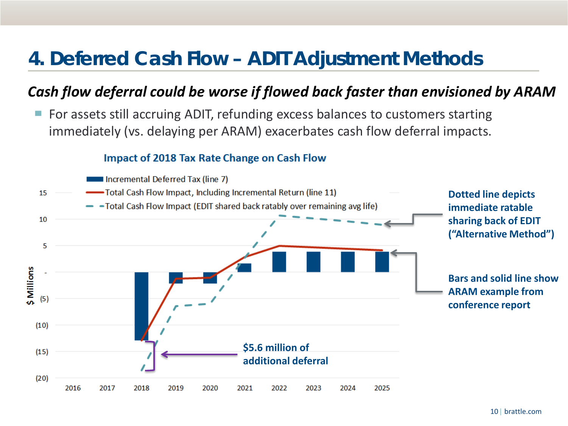# **4. Deferred Cash Flow – ADIT Adjustment Methods**

### *Cash flow deferral could be worse if flowed back faster than envisioned by ARAM*

For assets still accruing ADIT, refunding excess balances to customers starting immediately (vs. delaying per ARAM) exacerbates cash flow deferral impacts.

#### Impact of 2018 Tax Rate Change on Cash Flow

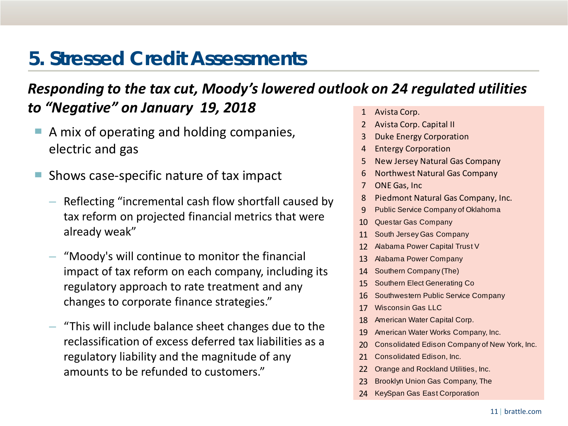# **5. Stressed Credit Assessments**

### *Responding to the tax cut, Moody's lowered outlook on 24 regulated utilities*  **to "Negative" on January 19, 2018** 1 Avista Corp.

- A mix of operating and holding companies, electric and gas
- Shows case-specific nature of tax impact
	- Reflecting "incremental cash flow shortfall caused by tax reform on projected financial metrics that were already weak"
	- "Moody's will continue to monitor the financial impact of tax reform on each company, including its regulatory approach to rate treatment and any changes to corporate finance strategies."
	- "This will include balance sheet changes due to the reclassification of excess deferred tax liabilities as a regulatory liability and the magnitude of any amounts to be refunded to customers."
- 
- 2 Avista Corp. Capital II
- 3 Duke Energy Corporation
- 4 Entergy Corporation
- 5 New Jersey Natural Gas Company
- 6 Northwest Natural Gas Company
- 7 ONE Gas, Inc
- 8 Piedmont Natural Gas Company, Inc.
- 9 Public Service Company of Oklahoma
- 10 Questar Gas Company
- 11 South Jersey Gas Company
- 12 Alabama Power Capital Trust V
- 13 Alabama Power Company
- 14 Southern Company (The)
- 15 Southern Elect Generating Co
- 16 Southwestern Public Service Company
- 17 Wisconsin Gas LLC
- 18 American Water Capital Corp.
- 19 American Water Works Company, Inc.
- 20 Consolidated Edison Company of New York, Inc.
- 21 Consolidated Edison, Inc.
- 22 Orange and Rockland Utilities, Inc.
- 23 Brooklyn Union Gas Company, The
- 24 KeySpan Gas East Corporation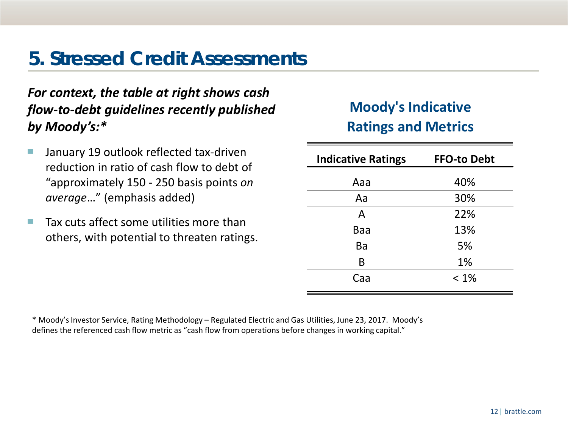# **5. Stressed Credit Assessments**

### *For context, the table at right shows cash flow-to-debt guidelines recently published by Moody's:\**

- January 19 outlook reflected tax-driven reduction in ratio of cash flow to debt of "approximately 150 - 250 basis points *on average*…" (emphasis added)
- $\blacksquare$  Tax cuts affect some utilities more than others, with potential to threaten ratings.

### **Moody's Indicative Ratings and Metrics**

| <b>Indicative Ratings</b> | <b>FFO-to Debt</b> |
|---------------------------|--------------------|
| Aaa                       | 40%                |
| Aa                        | 30%                |
| A                         | 22%                |
| Baa                       | 13%                |
| Ba                        | 5%                 |
| B                         | 1%                 |
| Caa                       | $< 1\%$            |

\* Moody's Investor Service, Rating Methodology – Regulated Electric and Gas Utilities, June 23, 2017. Moody's defines the referenced cash flow metric as "cash flow from operations before changes in working capital."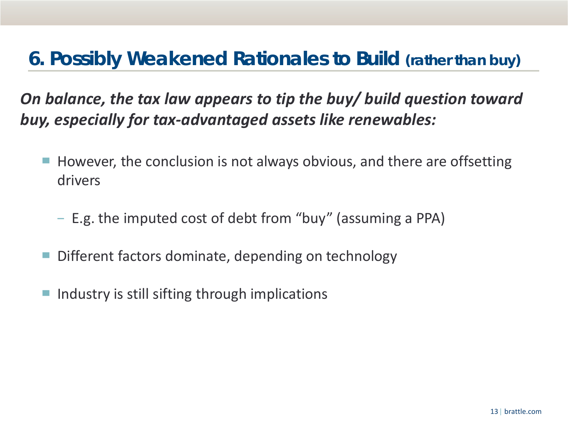# **6. Possibly Weakened Rationales to Build (rather than buy)**

*On balance, the tax law appears to tip the buy/ build question toward buy, especially for tax-advantaged assets like renewables:*

- However, the conclusion is not always obvious, and there are offsetting drivers
	- − E.g. the imputed cost of debt from "buy" (assuming a PPA)
- Different factors dominate, depending on technology
- Industry is still sifting through implications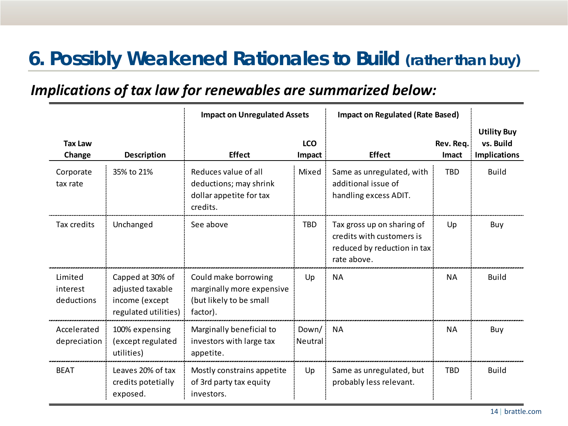# **6. Possibly Weakened Rationales to Build (rather than buy)**

### *Implications of tax law for renewables are summarized below:*

|                                   |                                                                                | <b>Impact on Unregulated Assets</b>                                                      |                      | <b>Impact on Regulated (Rate Based)</b>                                                               |                           |                                                        |
|-----------------------------------|--------------------------------------------------------------------------------|------------------------------------------------------------------------------------------|----------------------|-------------------------------------------------------------------------------------------------------|---------------------------|--------------------------------------------------------|
| <b>Tax Law</b><br>Change          | <b>Description</b>                                                             | <b>Effect</b>                                                                            | <b>LCO</b><br>Impact | <b>Effect</b>                                                                                         | Rev. Req.<br><b>Imact</b> | <b>Utility Buy</b><br>vs. Build<br><b>Implications</b> |
| Corporate<br>tax rate             | 35% to 21%                                                                     | Reduces value of all<br>deductions; may shrink<br>dollar appetite for tax<br>credits.    | Mixed                | Same as unregulated, with<br>additional issue of<br>handling excess ADIT.                             | <b>TBD</b>                | <b>Build</b>                                           |
| Tax credits                       | Unchanged                                                                      | See above                                                                                | <b>TBD</b>           | Tax gross up on sharing of<br>credits with customers is<br>reduced by reduction in tax<br>rate above. | Up                        | Buy                                                    |
| Limited<br>interest<br>deductions | Capped at 30% of<br>adjusted taxable<br>income (except<br>regulated utilities) | Could make borrowing<br>marginally more expensive<br>(but likely to be small<br>factor). | Up                   | <b>NA</b>                                                                                             | <b>NA</b>                 | <b>Build</b>                                           |
| Accelerated<br>depreciation       | 100% expensing<br>(except regulated<br>utilities)                              | Marginally beneficial to<br>investors with large tax<br>appetite.                        | Down/<br>Neutral     | <b>NA</b>                                                                                             | <b>NA</b>                 | Buy                                                    |
| <b>BFAT</b>                       | Leaves 20% of tax<br>credits potetially<br>exposed.                            | Mostly constrains appetite<br>of 3rd party tax equity<br>investors.                      | Up                   | Same as unregulated, but<br>probably less relevant.                                                   | <b>TBD</b>                | <b>Build</b>                                           |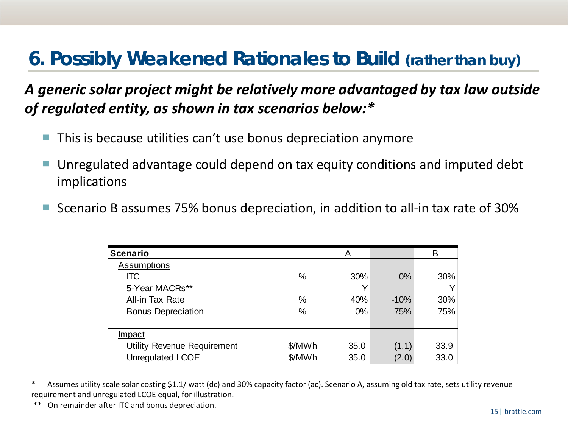# **6. Possibly Weakened Rationales to Build (rather than buy)**

### *A generic solar project might be relatively more advantaged by tax law outside of regulated entity, as shown in tax scenarios below:\**

- This is because utilities can't use bonus depreciation anymore
- Unregulated advantage could depend on tax equity conditions and imputed debt implications
- Scenario B assumes 75% bonus depreciation, in addition to all-in tax rate of 30%

| <b>Scenario</b>             |        | A     |        | В    |
|-----------------------------|--------|-------|--------|------|
| <b>Assumptions</b>          |        |       |        |      |
| <b>ITC</b>                  | $\%$   | 30%   | $0\%$  | 30%  |
| 5-Year MACRs**              |        | Υ     |        |      |
| All-in Tax Rate             | $\%$   | 40%   | $-10%$ | 30%  |
| <b>Bonus Depreciation</b>   | $\%$   | $0\%$ | 75%    | 75%  |
|                             |        |       |        |      |
| <b>Impact</b>               |        |       |        |      |
| Utility Revenue Requirement | \$/MWh | 35.0  | (1.1)  | 33.9 |
| <b>Unregulated LCOE</b>     | \$/MWh | 35.0  | (2.0)  | 33.0 |

\* Assumes utility scale solar costing \$1.1/ watt (dc) and 30% capacity factor (ac). Scenario A, assuming old tax rate, sets utility revenue requirement and unregulated LCOE equal, for illustration.

On remainder after ITC and bonus depreciation.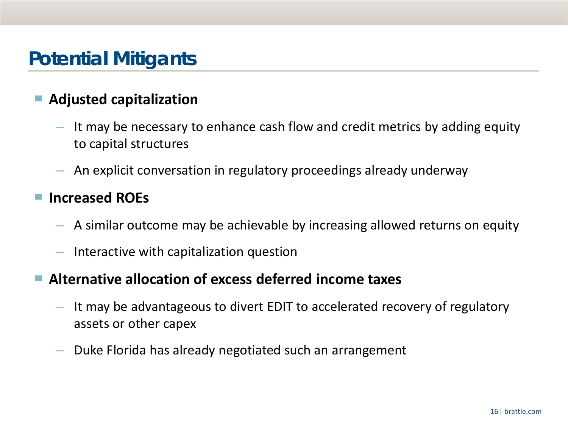# **Potential Mitigants**

### ▀ **Adjusted capitalization**

- It may be necessary to enhance cash flow and credit metrics by adding equity to capital structures
- An explicit conversation in regulatory proceedings already underway

### ▀ **Increased ROEs**

- A similar outcome may be achievable by increasing allowed returns on equity
- Interactive with capitalization question

### ▀ **Alternative allocation of excess deferred income taxes**

- It may be advantageous to divert EDIT to accelerated recovery of regulatory assets or other capex
- Duke Florida has already negotiated such an arrangement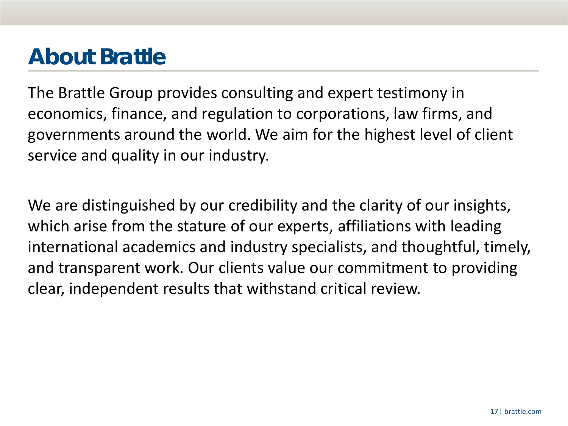# **About Brattle**

The Brattle Group provides consulting and expert testimony in economics, finance, and regulation to corporations, law firms, and governments around the world. We aim for the highest level of client service and quality in our industry.

We are distinguished by our credibility and the clarity of our insights, which arise from the stature of our experts, affiliations with leading international academics and industry specialists, and thoughtful, timely, and transparent work. Our clients value our commitment to providing clear, independent results that withstand critical review.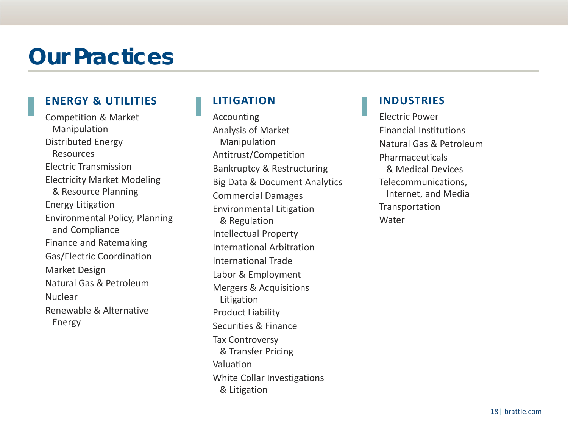# **Our Practices**

#### **ENERGY & UTILITIES**

Competition & Market Manipulation Distributed Energy Resources Electric Transmission Electricity Market Modeling & Resource Planning Energy Litigation Environmental Policy, Planning and Compliance Finance and Ratemaking Gas/Electric Coordination Market Design Natural Gas & Petroleum Nuclear Renewable & Alternative Energy

### **LITIGATION**

Accounting Analysis of Market Manipulation Antitrust/Competition Bankruptcy & Restructuring Big Data & Document Analytics Commercial Damages Environmental Litigation & Regulation Intellectual Property International Arbitration International Trade Labor & Employment Mergers & Acquisitions Litigation Product Liability Securities & Finance Tax Controversy & Transfer Pricing Valuation White Collar Investigations & Litigation

#### **INDUSTRIES**

Electric Power Financial Institutions Natural Gas & Petroleum Pharmaceuticals & Medical Devices Telecommunications, Internet, and Media Transportation Water